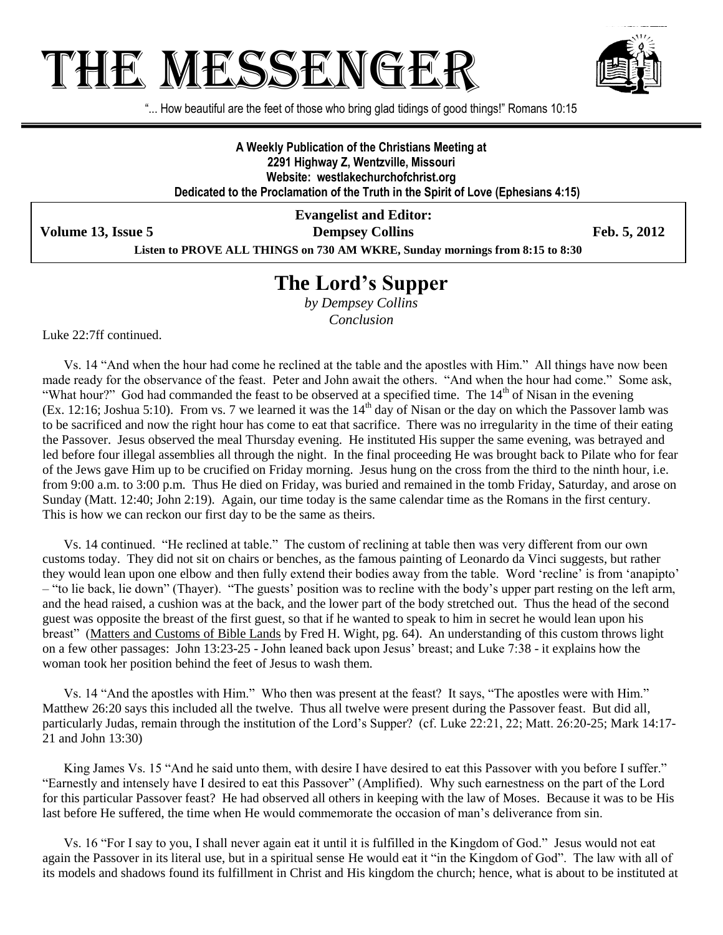## THE MESSENGE!



"... How beautiful are the feet of those who bring glad tidings of good things!" Romans 10:15

**A Weekly Publication of the Christians Meeting at 2291 Highway Z, Wentzville, Missouri Website: westlakechurchofchrist.org Dedicated to the Proclamation of the Truth in the Spirit of Love (Ephesians 4:15)**

**Evangelist and Editor: Volume 13, Issue 5 Dempsey Collins Feb. 5, 2012** 

**Listen to PROVE ALL THINGS on 730 AM WKRE, Sunday mornings from 8:15 to 8:30**

## **The Lord's Supper**

*by Dempsey Collins Conclusion*

Luke 22:7ff continued.

Vs. 14 "And when the hour had come he reclined at the table and the apostles with Him." All things have now been made ready for the observance of the feast. Peter and John await the others. "And when the hour had come." Some ask, "What hour?" God had commanded the feast to be observed at a specified time. The 14<sup>th</sup> of Nisan in the evening (Ex. 12:16; Joshua 5:10). From vs. 7 we learned it was the  $14<sup>th</sup>$  day of Nisan or the day on which the Passover lamb was to be sacrificed and now the right hour has come to eat that sacrifice. There was no irregularity in the time of their eating the Passover. Jesus observed the meal Thursday evening. He instituted His supper the same evening, was betrayed and led before four illegal assemblies all through the night. In the final proceeding He was brought back to Pilate who for fear of the Jews gave Him up to be crucified on Friday morning. Jesus hung on the cross from the third to the ninth hour, i.e. from 9:00 a.m. to 3:00 p.m. Thus He died on Friday, was buried and remained in the tomb Friday, Saturday, and arose on Sunday (Matt. 12:40; John 2:19). Again, our time today is the same calendar time as the Romans in the first century. This is how we can reckon our first day to be the same as theirs.

Vs. 14 continued. "He reclined at table." The custom of reclining at table then was very different from our own customs today. They did not sit on chairs or benches, as the famous painting of Leonardo da Vinci suggests, but rather they would lean upon one elbow and then fully extend their bodies away from the table. Word "recline" is from "anapipto" – "to lie back, lie down" (Thayer). "The guests" position was to recline with the body"s upper part resting on the left arm, and the head raised, a cushion was at the back, and the lower part of the body stretched out. Thus the head of the second guest was opposite the breast of the first guest, so that if he wanted to speak to him in secret he would lean upon his breast" (Matters and Customs of Bible Lands by Fred H. Wight, pg. 64). An understanding of this custom throws light on a few other passages: John 13:23-25 - John leaned back upon Jesus" breast; and Luke 7:38 - it explains how the woman took her position behind the feet of Jesus to wash them.

Vs. 14 "And the apostles with Him." Who then was present at the feast? It says, "The apostles were with Him." Matthew 26:20 says this included all the twelve. Thus all twelve were present during the Passover feast. But did all, particularly Judas, remain through the institution of the Lord"s Supper? (cf. Luke 22:21, 22; Matt. 26:20-25; Mark 14:17- 21 and John 13:30)

King James Vs. 15 "And he said unto them, with desire I have desired to eat this Passover with you before I suffer." "Earnestly and intensely have I desired to eat this Passover" (Amplified). Why such earnestness on the part of the Lord for this particular Passover feast? He had observed all others in keeping with the law of Moses. Because it was to be His last before He suffered, the time when He would commemorate the occasion of man"s deliverance from sin.

Vs. 16 "For I say to you, I shall never again eat it until it is fulfilled in the Kingdom of God." Jesus would not eat again the Passover in its literal use, but in a spiritual sense He would eat it "in the Kingdom of God". The law with all of its models and shadows found its fulfillment in Christ and His kingdom the church; hence, what is about to be instituted at